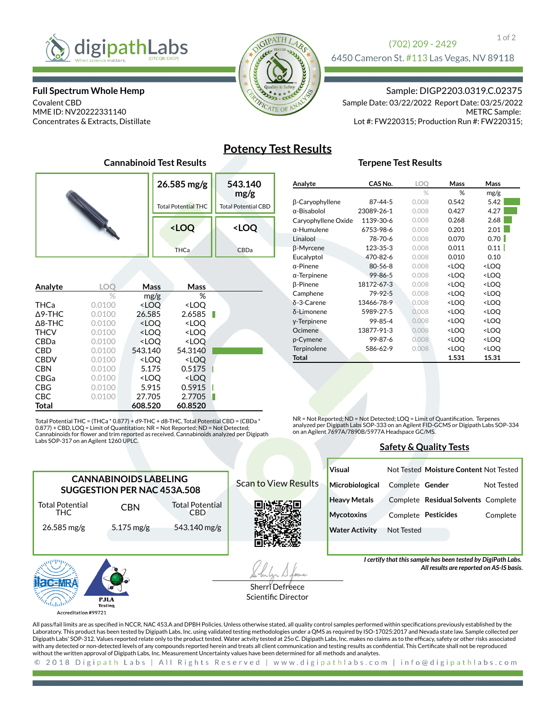

### **Full Spectrum Whole Hemp**

Covalent CBD MME ID: NV20222331140 Concentrates & Extracts, Distillate



### 1 of 2 (702) 209 - 2429 6450 Cameron St. #113 Las Vegas, NV 89118

Sample: DIGP2203.0319.C.02375

METRC Sample: Lot #: FW220315; Production Run #: FW220315; Sample Date: 03/22/2022 Report Date: 03/25/2022

# **Potency Test Results**

### **Terpene Test Results**

|         |  | 26.585 mg/g<br><b>Total Potential THC</b>       | 543.140<br>mg/g<br><b>Total Potential CBD</b> |  |
|---------|--|-------------------------------------------------|-----------------------------------------------|--|
|         |  | <loq< th=""><th><loq< th=""></loq<></th></loq<> | <loq< th=""></loq<>                           |  |
|         |  | <b>THCa</b>                                     | CBDa                                          |  |
| Analyte |  | Mass<br>Mass                                    |                                               |  |

**Cannabinoid Test Results**

| Anary LG          | $\sim$ $\sim$ | 171a <i>33</i>                                           | 171833                       |  |
|-------------------|---------------|----------------------------------------------------------|------------------------------|--|
|                   | %             | mg/g                                                     | %                            |  |
| THCa              | 0.0100        | <loq< th=""><th><loq< th=""><th></th></loq<></th></loq<> | <loq< th=""><th></th></loq<> |  |
| $\Delta$ 9-THC    | 0.0100        | 26.585                                                   | 2.6585                       |  |
| $\triangle$ 8-THC | 0.0100        | <loq< th=""><th><loq< th=""><th></th></loq<></th></loq<> | <loq< th=""><th></th></loq<> |  |
| <b>THCV</b>       | 0.0100        | <loq< th=""><th><loq< th=""><th></th></loq<></th></loq<> | <loq< th=""><th></th></loq<> |  |
| <b>CBDa</b>       | 0.0100        | <loq< th=""><th><loq< th=""><th></th></loq<></th></loq<> | <loq< th=""><th></th></loq<> |  |
| <b>CBD</b>        | 0.0100        | 543.140                                                  | 54.3140                      |  |
| <b>CBDV</b>       | 0.0100        | <loq< th=""><th><loq< th=""><th></th></loq<></th></loq<> | <loq< th=""><th></th></loq<> |  |
| <b>CBN</b>        | 0.0100        | 5.175                                                    | 0.5175                       |  |
| CBGa              | 0.0100        | <loq< th=""><th><loq< th=""><th></th></loq<></th></loq<> | <loq< th=""><th></th></loq<> |  |
| <b>CBG</b>        | 0.0100        | 5.915                                                    | 0.5915                       |  |
| CBC               | 0.0100        | 27.705                                                   | 2.7705                       |  |
| Total             |               | 608.520                                                  | 60.8520                      |  |

Total Potential THC = (THCa \* 0.877) + d9-THC + d8-THC, Total Potential CBD = (CBDa \* 0.877) + CBD, LOQ = Limit of Quantitation; NR = Not Reported; ND = Not Detected;<br>Cannabinoids for flower and trim reported as received. Cannabinoids analyzed per Digipath Labs SOP-317 on an Agilent 1260 UPLC.

> Total Potential CBD 543.140 mg/g

**CANNABINOIDS LABELING SUGGESTION PER NAC 453A.508**

CBN

5.175 mg/g

| Analyte             | CAS No.       | LOQ   | Mass                                                     | Mass                         |  |
|---------------------|---------------|-------|----------------------------------------------------------|------------------------------|--|
|                     |               | $\%$  | %                                                        | mg/g                         |  |
| β-Caryophyllene     | 87-44-5       | 0.008 | 0.542                                                    | 5.42                         |  |
| α-Bisabolol         | 23089-26-1    | 0.008 | 0.427                                                    | 4.27                         |  |
| Caryophyllene Oxide | 1139-30-6     | 0.008 | 0.268                                                    | 2.68                         |  |
| $\alpha$ -Humulene  | 6753-98-6     | 0.008 | 0.201                                                    | 2.01                         |  |
| Linalool            | 78-70-6       | 0.008 | 0.070                                                    | 0.70                         |  |
| β-Myrcene           | 123-35-3      | 0.008 | 0.011                                                    | 0.11                         |  |
| Eucalyptol          | 470-82-6      | 0.008 | 0.010                                                    | 0.10                         |  |
| $\alpha$ -Pinene    | $80 - 56 - 8$ | 0.008 | <loq< td=""><td><loq< td=""><td></td></loq<></td></loq<> | <loq< td=""><td></td></loq<> |  |
| $\alpha$ -Terpinene | 99-86-5       | 0.008 | <loq< td=""><td><loq< td=""><td></td></loq<></td></loq<> | <loq< td=""><td></td></loq<> |  |
| β-Pinene            | 18172-67-3    | 0.008 | <loq< td=""><td><loq< td=""><td></td></loq<></td></loq<> | <loq< td=""><td></td></loq<> |  |
| Camphene            | 79-92-5       | 0.008 | <loq< td=""><td><loq< td=""><td></td></loq<></td></loq<> | <loq< td=""><td></td></loq<> |  |
| δ-3-Carene          | 13466-78-9    | 0.008 | <loq< td=""><td><loq< td=""><td></td></loq<></td></loq<> | <loq< td=""><td></td></loq<> |  |
| δ-Limonene          | 5989-27-5     | 0.008 | <loq< td=""><td><loq< td=""><td></td></loq<></td></loq<> | <loq< td=""><td></td></loq<> |  |
| y-Terpinene         | 99-85-4       | 0.008 | <loq< td=""><td><loq< td=""><td></td></loq<></td></loq<> | <loq< td=""><td></td></loq<> |  |
| Ocimene             | 13877-91-3    | 0.008 | <loq< td=""><td><loq< td=""><td></td></loq<></td></loq<> | <loq< td=""><td></td></loq<> |  |
| p-Cymene            | 99-87-6       | 0.008 | <loq< td=""><td><loq< td=""><td></td></loq<></td></loq<> | <loq< td=""><td></td></loq<> |  |
| Terpinolene         | 586-62-9      | 0.008 | <loq< td=""><td><loq< td=""><td></td></loq<></td></loq<> | <loq< td=""><td></td></loq<> |  |
| <b>Total</b>        |               |       | 1.531                                                    | 15.31                        |  |

NR = Not Reported; ND = Not Detected; LOQ = Limit of Quantification. Terpenes analyzed per Digipath Labs SOP-333 on an Agilent FID-GCMS or Digipath Labs SOP-334 on an Agilent 7697A/7890B/5977A Headspace GC/MS.

### **Safety & Quality Tests**

|  |                             | Visual                |                 | Not Tested Moisture Content Not Tested |            |
|--|-----------------------------|-----------------------|-----------------|----------------------------------------|------------|
|  | <b>Scan to View Results</b> | Microbiological       | Complete Gender |                                        | Not Tested |
|  |                             | <b>Heavy Metals</b>   |                 | Complete Residual Solvents Complete    |            |
|  |                             | <b>Mycotoxins</b>     |                 | Complete Pesticides                    | Complete   |
|  |                             | <b>Water Activity</b> | Not Tested      |                                        |            |
|  |                             |                       |                 |                                        |            |

*I certify that this sample has been tested by DigiPath Labs.* 

*All results are reported on AS-IS basis.*

**AGENTRA** PJLA  $ln \ln \lambda$ Testi Accreditation #99721

Total Potential THC 26.585 mg/g

Sherri Defreece Scientific Director

All pass/fail limits are as specified in NCCR, NAC 453.A and DPBH Policies. Unless otherwise stated, all quality control samples performed within specifications previously established by the Laboratory. This product has been tested by Digipath Labs, Inc. using validated testing methodologies under a QMS as required by ISO-17025:2017 and Nevada state law. Sample collected per Digipath Labs' SOP-312. Values reported relate only to the product tested. Water actvity tested at 25o C. Digipath Labs, Inc. makes no claims as to the efficacy, safety or other risks associated with any detected or non-detected levels of any compounds reported herein and treats all client communication and testing results as confidential. This Certificate shall not be reproduced without the written approval of Digipath Labs, Inc. Measurement Uncertainty values have been determined for all methods and analytes.

© 2018 Digipath Labs | All Rights Reserved | www.digipathlabs.com | info@digipathlabs.com